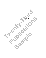

 $\frac{1}{1}$ 

 $\frac{1}{\frac{1}{\sqrt{2}}}$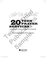# **THENT CES** for **PRAYER**<br>
SERVICES for<br>
Shannon Cerneka and Orin Johnson

**SAMPLE CONSTRUCTED** 

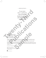### $\exists$  DEDICATION  $\in$

To our wives, Erin C. and Erin H., and our families: thanks for putting up with all the craziness all these years. To our wives,<br>
Erin C. and Erin H.,<br>
and our families:<br>
thanks for putting up<br>
with all the craziness<br>
all these years,<br>
all these years,<br>
all these years,<br>
the craziness<br>
one of the contract of the contract of the contrac

TWENTY-THIRD PUBLICATIONS One Montauk Avenue, Suite 200 New London, CT 06320 (860) 437-3012 or (800) 321-0411 www.twentythirdpublications.com

Copyright © 2018 Shannon Cerneka and Orin Johnson. All rights reserved. No part of this publication may be reproduced in any manner without prior written permission of the publisher. Write to the Permissions Editor.

Scripture texts in this work are taken from the *New American Bible, revised edition* © 2010, 1991, 1986, 1970 Confraternity of Christian Doctrine, Washington, DC, and are used by permission of the copyright owner. All rights reserved. No part of the *New American Bible* may be reproduced in any form without permission in writing from the copyright owner. With all these creations and the second the second term is the publication may be publications and the second term is the second of the publication may be a second to the second term is the second term in the second term i **Sample 2008**<br>
Samples 2008<br>
Samples 2009<br>
Samples 2009<br>
Samples 2009<br>
Samples 2018<br>
Samples 2018<br>
Samples 2018<br>
Doctrine, Washington, DC, and are used by permission of the copyright of<br>
Walkelman Bible may be reproduced i

Cover photo: ©Shutterstock.com

ISBN: 978-1-62785-379-8 Library of Congress Control Number: 2018943223 Printed in the U.S.A.



A division of Bavard, Inc.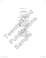### THANKS TO…

Our patient and flexible families

Kathy Hendricks and everyone at Twenty-Third Publications

The many people who have trusted us with ministries, especially with youth, over many years: this book would not exist without your confidence in us

Our parishes of employment: St. Peter Catholic Church in Fulton, MO and Sts. Joachim and Ann Catholic Church in St. Charles, MO Our patient<br>
and flexible families<br>
Kathy Hendricks<br>
and everyone at<br>
Twenty-Third Publications<br>
Twenty-Third Publications<br>
The many people who have<br>
trusted us with ministries,<br>
ever many pears: this book<br>
would not exist Twenty-Third Publications<br>
The many people who have<br>
trusted us with ministries,<br>
especially with youth,<br>
over many years: this book<br>
would not exist without<br>
your confidence in us<br>
Our parishes<br>
of employment:<br>
St. Peter in Fulton, MO and<br>Sts. Joachim and Ann<br>Catholic Church<br>in St. Charles, MO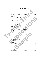# **Contents**

| How to Use This Book                        |
|---------------------------------------------|
|                                             |
| <b>COMMUNITY</b><br>Welcome and Community.  |
|                                             |
| <b>GENERATIONS, WISDOM</b>                  |
| For Grandparents and Other Elders           |
| <b>CONSOLATION</b>                          |
| At a Time of Tragedy.<br>9                  |
| <b>COMMUNION OF SAINTS</b>                  |
| All Saints<br>. . 13                        |
| DECEASED FAMILY AND FRIENDS, TRADITION      |
| All Souls<br>$\ldots$ 16<br>.               |
| <b>GRATITUDE TO GOD</b>                     |
| . 19<br>Thanksgiving                        |
|                                             |
| DOMINION, SOVEREIGNTY                       |
| Christ the King<br>23                       |
| <b>WAITING IN JOYFUL HOPE</b>               |
|                                             |
| <b>HUMILITY</b>                             |
| Our Lady of Guadalupe and St. Juan Diego 29 |
|                                             |
| <b>INCARNATION</b>                          |
|                                             |
| <b>LEARNING, FOLLOWING</b>                  |
|                                             |

 $\frac{1}{2}$ 

 $\frac{1}{2}$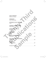| PEACE, ASSURANCE                 |  |
|----------------------------------|--|
| Before an Exam<br>41             |  |
|                                  |  |
| <b>REPENTANCE</b>                |  |
| 44                               |  |
|                                  |  |
| RETURNING TO GOD, CONVERSION     |  |
| .48                              |  |
|                                  |  |
| SUFFERING, OBEDIENCE, CROSS      |  |
| . .51                            |  |
|                                  |  |
| RESURRECTION, NEW LIFE<br>. 54   |  |
| Easter                           |  |
| <b>DIVINE MERCY</b>              |  |
| Mercy                            |  |
|                                  |  |
| <b>CHURCH AND OUR MISSION</b>    |  |
| Ascension<br>.60                 |  |
|                                  |  |
| HOLY SPIRIT, GIFTS OF THE SPIRIT |  |
|                                  |  |
|                                  |  |
| <b>TRANSITIONS</b>               |  |
| At Graduation<br>67              |  |
|                                  |  |
| Scriptural Index<br>70<br>.      |  |
|                                  |  |
|                                  |  |
|                                  |  |
|                                  |  |

 $\begin{array}{c} \begin{array}{c} \end{array} \end{array}$ 

 $\frac{1}{\frac{1}{\sqrt{2}}}$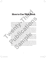# How to Use This Book

In this book you will find several topics, each a particular facet of our Catholic faith, fleshed out in prayer services. Each one has elements of Scripture, music, and fun and engaging reflection activities. These have been created with an eye toward using them at the beginning and/or ending of school days, at all-school gatherings, PSR evenings, youth ministry events, at home in the family, etc.

The chapters have been created to flow along with the multiple calendars of our lives: civil, school, and liturgical. Within each chapter, anyone could use the various elements of each prayer service at other appropriate times to help all dig a bit deeper into our common faith. Music suggestions are also given in each prayer service: at least a possible opening hymn and closing hymn are listed, and some services use music for reflection or ritual moments as well. **Two WISE This BOOK**<br>
In this book you will find several foreics, each a particular foret of our Cablolic fields<br>the out in prayer services. Each one has elements of Scripture, music, and<br>
and engaging refection activities

Some of the Scripture passages, prayers, and activities may seem a little "dense" (or long, or profound, etc.) for young people. Our experience, though, is that we don't give our young church enough credit, nor do we always challenge them enough when it comes to the deeper aspects of our faith. We believe you may be surprised at how well your students respond to the various elements of this resource. At the very least, don't be afraid to try! In this book you will find several topics, each a particular facet of our Catholic faith,<br>fleshed out in prayer services. Each one has elements of Seripture, music, and fun<br>and engaging reficteform activities. These have b rast a possible opening nyinh and closing nyinh are listed, a<br>music for reflection or ritual moments as well.<br>of the Scripture passages, prayers, and activities may seem a<br>or profound, etc.) for young people. Our experienc

Lastly, though they have been grouped and ordered in ways that make sense to us, with some prayers and activities attached to particular feasts or occasions, don't be afraid to use any of these resources in any way that makes sense in your local communities, and don't be afraid, when you get the hang of how this resource is constructed, to try creating your own services and reflection activities.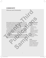# **COMMUNITY**

# *Welcome and Community*

After his baptism and time in the desert, Jesus formed a community of disciples as he began his ministry. Before his Ascension, he instructed his disciples to evangelize and to add to their numbers through the sacrament of baptism. Even God's very nature is a community of three persons: Father, Son, and Spirit. Community is an essential part of being a Catholic Christian. Welcome and Community<br>
After his baptism and time in the desert, less formed a community of disciples as he began his ministry, Before his Ascension, he<br>
instructed his disciples to the secure of the final method of their **Publication**<br> **Publication**<br> **Publication**<br> **Publication**<br> **Publication**<br> **Publications**<br> **Publications**<br> **Publications**<br> **Publications be distributed by the service for a light service for all gradients, reader, and the** 

As a school year—or any year—begins, one of the most difficult tasks leaders have is bringing everyone together into community. There are always new students and staff in the schools, for instance, and the emotions of missing the ones no longer at the school.

The following prayer with Scripture and activity will help all embrace the importance of Christian community alongside our individual relationships with God. They will also help us recognize that it is God who invites us to, and forms us into, community. From Sampler and activity will help all<br>
From Scripture and activity will help all<br>
severa<br>
severa<br>
severa<br>
severa<br>
severa<br>
severa<br>
severa<br>
severa<br>
severa<br>
severa<br>
severa<br>
severa<br>
severa<br>
sexera<br>
sexera<br>
sexera<br>
sexera<br>
se

### **Materials and Preparations**

- copies of the service for all leaders, readers, and speakers
- a copy of the "Call and Response" for all participants
- a large poster or projection displaying the dictionary definition of "community"
- several pieces of posterboard or paper
- sets of markers or pens for small groups

### **Location**

Consider gathering where small groups will have a chance to engage in discussion and all can participate easily in the activity—a common area, lunchroom, or gymnasium.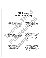### prayer service

Welcome and Community

As we pray today, we focus our hearts and minds on gathering in unity, recognizing that we are all one in Christ. Though we as individuals have some gifts and talents that differ from one another, we can always use these God-given gifts for a common purpose: building God's reign on Earth. The unity that our community has in Christ Jesus cannot be broken. **THE SEARCH COMMUNITY**<br>
As we pray today, we focus our hearts and<br>
As we pray today, we focus our hearts and<br>
minds on gathering in unity, recognizing that<br>
when Jesus head that John had<br>
we are all one in Chita: Hough we

### *[All stand.]*

### **GATHERING MUSIC**

Consider "We are Many Parts" (Marty Haugen, GIA) or other music familiar to the community with texts of unity in Christ.

**gathering prayer** *God Three-in-One, in your three Persons, you are love: the lover, the beloved, and the loving. Yet you are also one God, holy and true. Make us, your people, signs of your love, and form us into one community of faith, with Christ as our head. We ask this through Christ our Lord. Amen.* **SIC**<br> **SIC**<br>
Lany Parts" (Marty Haugen,<br>
Lany Parts" (Marty Haugen,<br>
and say, "Repent, for the<br>
familiar to the community<br>
and say, "Repent, for the<br>
and say," Repent, for the<br>
and say," Repent, for the<br>
and his swalking

**scripture** *(Matthew 4:12–23)*

When Jesus heard that John had been arrested, he withdrew to Galilee. He left Nazareth and went to live in Capernaum by the sea, in the region of Zebulun and Naphtali, that what had been said through Isaiah the prophet might be fulfilled: "Land of Zebulun and land of Naphtali, the way to the sea, beyond the Jordan, Galilee of the Gentiles, the people who sit in darkness have seen a great light, on those dwelling in a land overshadowed by death light has arisen." We pray today, we focus our hearts and<br>
ds on gathering in unity, recognizing that<br>
real all one in Christ Though we as individual to that John had been arrest<br>
real one in Christ Though we as individual to the wind change

From that time on, Jesus began to preach and say, "Repent, for the kingdom of heaven is at hand."

As he was walking by the Sea of Galilee, he saw two brothers, Simon who is called Peter, and his brother Andrew, casting a net into the sea; they were fishermen. He said to them, "Come after me, and I will make you fishers of men." At once they left their nets and followed him.

He walked along from there and saw two other brothers, James, the son of Zebedee, and his brother John. They were in a boat, with their father Zebedee, mending their nets. He called them, and immediately they left their boat and their father and followed him.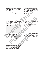He went around all of Galilee, teaching in their synagogues, proclaiming the gospel of the kingdom, and curing every disease and illness among the people.

The Gospel of the Lord. *All:* Praise to you, Lord Jesus Christ.

*[All are seated. Allow 5–10 seconds of silence before continuing.]*

### **reflection activity**

Divide the young people into groups of four or five. Give each group a sheet of paper and a pencil. Give them this brief definition of what a community is:

A social, religious, occupational, or other group sharing common characteristics or interests and perceived or perceiving itself as distinct in some respect from the larger society within which it exists. **http://dictionary.reference.com/ browse/community** Engine the property uses as a minicisty in the complete the spental of the transition and the property uses of states and interest in the complete the complete the Lord Jesus Christ.<br>
The Goapel of the Lord Jesus Christ.<br>

Have the youth collectively list the total number of communities they belong to. These communities might include their family, town, baseball team, etc. Once they have finished, ask them to come up with a list of traits that those communities have in common. These traits might include wearing uniforms, events and activities attended by people who have the same interests, belief in the same things, etc. **Publication**<br> **Publication ACTIVITY**<br> **Publication** and **Publications** and **Publications**<br> **Publications** and **Publications**<br> **Publications** and **Publications**<br> **Publications** and **Publications** and **Publications**<br> **Publi Sample 19** us stronger as a community,<br>
is more complete because of<br>
simply, town, baseball<br>
ir family, town, baseball<br>
we finished, ask them to<br>
theirs to carry alone, we pra<br>
its that those communi-<br>
ese traits might in

Next, ask the students to look at their lists. Invite them to figure out how many of the traits would also be in a community that Jesus could belong to and why. The groups should then share these answers with the entire gathering.

The leader can then conclude the activity by underscoring not only the importance of community, but also how important and necessary it is for Jesus to be at the center of any community to which we belong.

*[All stand.]*

### **intercessions**

Please respond, R∙ *"Lord Jesus, make us one."*

For those who lead us in faith—bishops, priests, principals, and teachers: that with them we may be unified in mind, heart, and purpose, we pray. **R**∙

For those in elected office, especially here in this town: that they always recognize the common good of the citizens they serve, we pray. R∙

For all of us gathered here today: may we recognize that our varied God-given gifts make us stronger as a community, and that our unity is more complete because of them, we pray. R∙

For those who are suffering or in pain: may we help them realize that their burdens are not theirs to carry alone, we pray. R∙

*[Other intercessions may be voiced aloud by those gathered.]*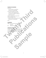### **prayer of blessing**

*God of Love,*

*you have called us out of darkness into your own wonderful light.*

*Just as the first disciples were called, continue to call us together,that we, your people, may together worship you and serve you as one.*

*Lead our community in your ways of love.*

*In these and all other ways,*

*+ may the Lord bless us, protect us from all evil, and bring us to everlasting life.* 

*Amen.*

### **dismissal**

*Leader* With one voice, let us go forth to love and serve.

*All* Thanks be to God.

### **sending music**

Consider "With One Voice" (Ricky Manalo, OCP) or other music familiar to the community with texts of sharing the good news as one people of faith. put *mare taxes were state of the control and the control and the state of the martines to call the specified helps that the control and the specified helps that the specified helps that the specified helps and the present* rese and all other ways,<br>
ry the Lard bless us, protect us from all evil,<br>
m,<br>
m,<br> **Publications and serve.**<br>
Thanks be to God:<br>
Thanks be to God:<br> **PUBLICATE CODESC CONSUMING ACCORDING THE CONSUMING ACCORDING the CONSUMIN Sample**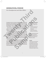## generations, wisdom

*For Grandparents and Other Elders*

Grandparent events are always special. Most young people take great pride in their grandparents, and for good reason! They are amazing people who often play very important roles in our lives. They babysit us, take us on wonderful adventures, and make us s'mores. (Mmm…s'mores.) They love us, and we love them!

Even if we don't know our grandparents, we often have other elders in our lives who take on similar roles: uncles and aunts, neighbors, or family friends.

Grandparents and other elders serve a significant purpose in our lives. They help us understand the things in life that are truly important, the things that do not change over time, and the things that only they, as an older member of the community, could have any real perspective on. They remind us that love, goodness, truth, family, and most important, faith are what ultimately matter in this life—and the next! They are shining examples of God's wisdom. For Grandparents and Other Elders<br>
Grandparent wents are always special. Most young people take<br>
great pride in their grandparents, and for good reason! They are<br>
amazing people who offer paysing important roles in our liv arent events are always special. Most young people take<br>
ide in their grandparents, and for good reason! They are<br>
ide in their grandparents, and for good reason! They are<br>
bysit us, take us on wonderful adventures, and ma Use the transfer of the community, which service, as<br>
in the transfer of the community,<br>
the case of the community,<br>
and most important, faith are what ulti-<br>
e-and the next! They are shining example in the truth that our

The following prayer with Scripture and activity will help reinforce in those gathered the truth that our Christian life is a direct result of the faith passed to us from the elders in our life. Hopefully, participants will also walk away with at least the beginning of the idea that it will also be their responsibility to pass that faith along to future generations one day.

### **Materials and Preparations**

- copies of the service for all leaders, readers, and speakers
- blank sheet of paper and a pen or pencil for each small group
- copies of the interview questions for each group

A few weeks before the prayer service, ask the children to extend to grandparents and other elders in their lives an invitation to attend.

### **Location**

A large but nice room that can accommodate not only the large gathered section of this service, but also the breakout small group section. Round tables would be nice for the small groups to gather around.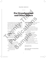### prayer service

# For Grandparents and Other Elders

As we pray today, we focus our hearts and minds on how the faith of God's people is shared across generations. This transfer of truth and love is often most evident in the relationships we have with our grandparents and other elders in our lives. We pause today to pray with them and listen to their wisdom. **For Grandparents**<br>
As we pray today, we focus our heartsand minds<br>
the **FEIDETS**<br>
As we pray today, we focus our heartsand minds<br>
on how the faith of God's people is shared across<br>
for as the heavens tower over the<br>
gener We pray today, we focus our hearts and minds<br> **PUBLICATE PROPER PASSAGE** (*Pealm 103:11-1*<br>
Publication Chin and allows is a streaked across<br> **PUBLICATE PROPER PASSAGE** (*Pealm 103:11-1*<br> **PUBLICATE ACTION** INTO THE CONSID

### *[All stand.]*

### **GATHERING MUSIC**

Consider "In Every Age" (Janèt Sullivan Whitaker, OCP) or other music familiar to the community with texts emphasizing how God is present throughout all generations.

### **gathering prayer**

*God of the ages, you are the Spirit of true Wisdom, sustaining the faith of your people across the generations. Bless us today and all days with a holy confidence in you and your meaningful presence in our lives. We ask this in the name of Jesus, your son and our Lord. Amen.* **SIC**<br>
For the Knows how we are<br>
remembers that we a<br>
other music familiar to the<br>
the blossoms like a flock<br>
ts emphasizing how God is<br>
A wind sweeps over it are<br>
all generations.<br> **AVER**<br>
of true Wisdom,<br>
to function of

### **scripture passage** *(Psalm 103:11–18)*

For as the heavens tower over the earth, so his mercy towers over those who fear him.

As far as the east is from the west,

so far has he removed our sins from us.

As a father has compassion on his children, so the LORD has compassion on those who fear him.

For he knows how we are formed,

remembers that we are dust.

As for man, his days are like the grass; he blossoms like a flower in the field.

A wind sweeps over it and it is gone; its place knows it no more.

But the LORD's mercy is from age to age, toward those who fear him.

His salvation is for the children's children of those who keep his covenant, and remember to carry out his precepts.

The word of the Lord. *All:* Thanks be to God.

*[All are seated. Allow 5–10 seconds of silence before continuing.]*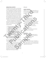### **reflection activity**

The Book of Job 12:12 reads, "So with old age is wisdom, and with length of days understanding." Our grandparents and elders are abundant sources of life experience and wisdom. Many have lived long enough to have known several U.S. presidents, have experienced amazing advances in technology, and have seen their own families grow in unexpected and fantastic ways. They are also walking their own faith journeys, each day growing in their relationship with God and doing what they can to live God's vocation for them. is was counting the matrix and delets are abundant<br>
ing.<sup>7</sup> Our grandparents and elders are abundant<br>
ling.<sup>3</sup> Our grandparents and elders are abundant<br>
ling.<sup>3</sup> Our grandparents and elders are abundant<br>
line interded on M

Split your young people into small groups of three youth accompanied by their visiting grandparent(s) or other elders. In each group, ask the youth to interview the visitors by asking the following questions: Example the two main for the main of the definition of the state in the relationship with God and done<br>
y can to live God's vocation for them,<br>
y and the company of the main the Comega for the main term of the main of the

- 1. How has your faith in God made a difference in your life?
- 2. What is your favorite way to pray? Why?
- 3. What can you tell us about the faith practice of your elders, grandparents, or other extended family?
- 4. What impact did your elders' faith have on yours?
- 5. What one piece of advice can you offer to us younger members of the faithful?

Encourage the young people to listen attentively and respectfully to each answer.

A great way to extend the reach of this prayer service is to use the grandparents/elders' answers to question five to create a display for your classroom, bulletin board, etc. In this way, the sage wisdom of the earlier generations can have a greater impact on all of your youth. Visit pinterest.com or chat with an art teacher to find design ideas for these types of displays. Figure 1.5, yandparents,<br>
amily?<br>
Unrelders' faith have<br>
Leader Let us go forth continuations<br>
our knowledge of, low<br>
our knowledge of, low<br>
our knowledge of, low<br>
our knowledge of, low<br>
our knowledge of, low<br>
our knowledg

### *[All stand.]*

### **lord's prayer**

Together now, let us pray the prayer given to us by Jesus, handed on throughout time and taught to us by the many faithful people in our lives. *Our Father...*

### **prayer of blessing**

*God of all time,* 

*you are the Alpha and the Omega, the beginning and the end.*

*You are the holy tie that binds all generations. We give you thanks today for our grandparents and other elders, bearers of your truth and wisdom.*

*Help us, by their example, to grow in faith and love, so that one day we can be for younger generations what these men and women are for us.*

*In these and all other ways,*

*+ may the Lord bless us, protect us from all evil, and bring us to everlasting life. Amen.*

### **dismissal**

*Leader* Let us go forth continuing to grow in our knowledge of, love of, and service to God and God's people. *All* Thanks be to God.

### **sending music**

Consider "We Are His People" (Oddwalk) or other music familiar to the community with texts emphasizing our oneness in God and God's endless love and care for us.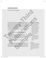## **CONSOLATION**

*At a Time of Tragedy*

Times of tragedy, hardship, and mourning are a part of the human experience. Even events that might seem insignificant from an outside perspective can cause great trauma and the need to pray together for Christ's peace and consolation. This prayer service has been designed to help participants prayerfully respond to a local, national, or global tragedy. At a Time of Tragedy<br>
Times of tragedy, hardship, and mourning are a part of the human<br>
experience. Even events that might seem insignificant from an<br>
outside presenctive can cause of experience in a state need to part tab Example the context to healthily have the state of the state of the state of the state of the state of the state of the state of the state of the state of the state of the state of the state of the state of the state of th

Here are a few truths that guided us in building a basic prayer structure:

- We as humans experience our share of suffering, death, loss, and grief.
- We generally do not experience these things alone. Typically, they are lived in the context of a community.
- Our God, who knows suffering, will be with us through it all.
- Prayer is our most effective way of inviting God into our grief.
- Silence speaks louder than most words at times of distress.

The following prayer with Scripture and activity will give young people the context to healthily name their sorrow, know the shared grief and support of the larger community, and allow our Lord to journey with them as they process through their emotions. Finance our state of sultering, death,<br>
not experience these things alone.<br>
parameters in the context of a community.<br>
nows suffering, will be with us through it all.<br>
(if<br>
it effective way of inviting God<br>
uder than most

### **Materials and Preparations**

- prayer table (large enough to accommodate a large pillar candle and the participants' prayer rocks) with decorative tablecloth
- smooth rocks (quarter to half-dollar coin-sized), one for each participant
- fine-point permanent markers, one for each participant
- one large pillar candle (if fire codes prohibit the use of wax candles, use a battery-operated one instead)

### **Location**

Consider being in a church or chapel where each participant could have his or her own space in the pews. Otherwise, another large room would suffice.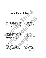### prayer service

# At a Time of Tragedy

As we pray today, we focus our hearts and minds on Jesus, who knows suffering and pain. We take time to name our own pain and invite Jesus into our hearts to help carry these burdens with us. We trust that as we allow Christ into our darkness, we will be ever comforted and renewed by his light.

### *[All stand.]*

### **GATHERING MUSIC**

Consider "His Light" (Oddwalk) or other music familiar to the community with texts of comfort in times of great difficulty.

### **gathering prayer**

*O God, eternal source of peace and hope, hear us, your people, in this time of sorrow and grief.*

### *[silent pause, 10–15 seconds]*

*Unite us in our despair. Remind us of your love and covenant. Grace us with your comforting touch. We make this prayer through Jesus who suffered for us, our Lord, for ever and ever. Amen.*

### **scripture passage**

*(Lamentations 3:47–59)* Panic and the pit have been our lot, desolation and destruction; My eyes stream with tears over the destruction of the daughter of my people. My eyes will flow without ceasing, without rest, Until the LORD from heaven looks down and sees. I am tormented by the sight of all the daughters of my city. Without cause, my enemies snared me as though I were a bird; They tried to end my life in the pit, pelting me with stones. The waters flowed over my head: and I said, "I am lost!" **At a Time of Tragedy**<br>
As we pray today, we focus our hearts and minds<br>
on Jesus, who knows suffering and pain. We take<br>
the commentations 347-59<br>
time to name own pain and invite Jesus into the commentations 347-59<br>
time Example the correspondent and the set of the seconds of the seconds of the seconds of the seconds of the seconds of the seconds of the seconds of the seconds of the seconds of the seconds of the seconds of the seconds of t Frame and hope,<br>
Samples of comfort<br>
I am tormented by the sight<br>
ty.<br>
I am tormented by the sight<br>
of all the daughters of my<br>
Without cause, my enemies<br>
as though I were a bird;<br>
Nikout cause, my enemies<br>
as though I wer

### *[silent pause, 20–30 seconds]*

I have called upon your name, O LORD, from the bottom of the pit; You heard me call, "Do not let your ear be deaf to my cry for help." You drew near on the day I called you;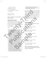you said, "Do not fear!" You pleaded my case, Lord, you redeemed my life. You see, LORD, how I am wronged; do me justice!

The word of the Lord. *All:* Thanks be to God.

*[All are seated. Allow 5–10 seconds of silence before continuing.]*

### **reflection activity**

At times like these, words can seem trite and ultimately lacking in their ability to express how we truly feel. This reflection activity is meant to give the young people as much silent time and space as possible.

Invite someone to read the next paragraph aloud:

During times of great tragedy, sometimes the only thing that makes any sense to do is pray. Many of us have thoughts and emotions we want to express. Jesus understands our sorrow and has promised to never leave us alone. Psalm 55:23 says: "Cast your care upon the Lorp, who will give you support." At this time, you will be given a rock and a permanent marker. Take some time to reflect on your feelings. When you're ready, write one word on the rock that expresses and summarizes those feelings, and then place the rock somewhere around the candle on the prayer table. This candle represents Christ for us. Laying your rock on the prayer table symbolizes your willingness to surrender your independence to Jesus, letting him help and guide you through times of trial. Letting go of the weight of the rock will also signify laying down the burden For example the train of the Lord Registration of the Lord Registration of the Lord Payer and All and a person has been in complete the state of the Lord Contribution of the Lord Contribution of the Lord Contribution of th **EXERCTION ACTIVITY**<br> **PUBLICATION ACTIVITY**<br> **PUBLICATION ACTIVITY**<br> **PUBLICATION ACTIVITY**<br> **PUBLICATION ACTIVITY**<br> **PUBLICATION ACTIVITY**<br> **PUBLICATION ACTIVITY**<br> **PUBLICATION ACTIVITY**<br> **PUBLICATION ACTIVITY**<br> **PUBLICA** Vant to express. Jesus<br>
Some the Lord and the Spread Unit of the Spread Unit of the Spread Unit of the Lord and the Lord and the Lord on the Lord, who will give<br>
Salm 55:23 says:<br>
Some the Lord by the Lord Beam our feeling

of whatever feeling or emotions you are choosing to give over to Christ.

Next, allow the ritual to begin. No music will be played during this time. This entire activity should be done in complete silence. Allow enough time for each person to complete the activity. Once the last person has placed their rock on the table, allow another five minutes of prayerful silence.

At the end of those five minutes, move directly into the general intercessions.

*[All stand.]*

### **intercessions**

At the end of each intercession please respond: R∙ *God, heal us; be our peace.*

For our world, *[three-second pause]* we pray to the Lord: R∙

For our church, *[three-second pause]* we pray to the Lord: R∙

For our nation, *[three-second pause]* we pray to the Lord: R∙

For our community, *[three-second pause]* we pray to the Lord:  $\mathbf{R}_{}^{\centerdot}$ 

For our schools, *[three-second pause]* we pray to the Lord: R∙

For our families, *[three-second pause]* we pray to the Lord: R∙

*[Please add any additional intentions deemed necessary, or invite those gathered to voice aloud their own, in similar style.]*